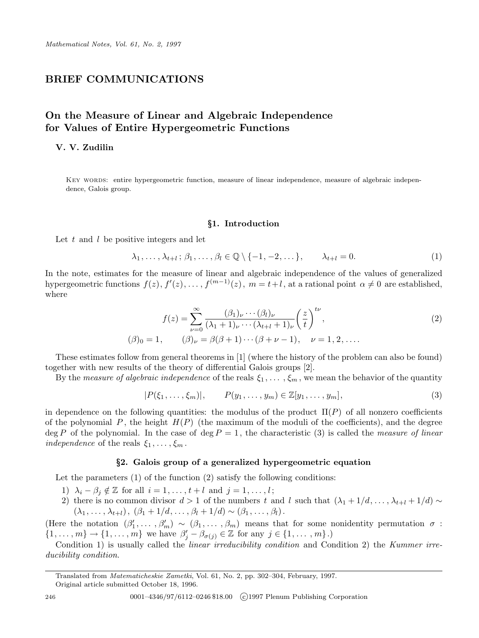# BRIEF COMMUNICATIONS

# On the Measure of Linear and Algebraic Independence for Values of Entire Hypergeometric Functions

## V. V. Zudilin

KEY WORDS: entire hypergeometric function, measure of linear independence, measure of algebraic independence, Galois group.

### §1. Introduction

Let  $t$  and  $l$  be positive integers and let

$$
\lambda_1, \ldots, \lambda_{t+l}; \beta_1, \ldots, \beta_l \in \mathbb{Q} \setminus \{-1, -2, \ldots\}, \qquad \lambda_{t+l} = 0. \tag{1}
$$

In the note, estimates for the measure of linear and algebraic independence of the values of generalized hypergeometric functions  $f(z)$ ,  $f'(z)$ , ...,  $f^{(m-1)}(z)$ ,  $m = t+l$ , at a rational point  $\alpha \neq 0$  are established, where

$$
f(z) = \sum_{\nu=0}^{\infty} \frac{(\beta_1)_{\nu} \cdots (\beta_l)_{\nu}}{(\lambda_1 + 1)_{\nu} \cdots (\lambda_{t+l} + 1)_{\nu}} \left(\frac{z}{t}\right)^{t\nu},
$$
  

$$
(\beta)_0 = 1, \qquad (\beta)_\nu = \beta(\beta + 1) \cdots (\beta + \nu - 1), \quad \nu = 1, 2, \dots.
$$
 (2)

These estimates follow from general theorems in [1] (where the history of the problem can also be found) together with new results of the theory of differential Galois groups [2].

By the measure of algebraic independence of the reals  $\xi_1, \ldots, \xi_m$ , we mean the behavior of the quantity

$$
|P(\xi_1, \dots, \xi_m)|, \qquad P(y_1, \dots, y_m) \in \mathbb{Z}[y_1, \dots, y_m], \tag{3}
$$

in dependence on the following quantities: the modulus of the product  $\Pi(P)$  of all nonzero coefficients of the polynomial P, the height  $H(P)$  (the maximum of the moduli of the coefficients), and the degree  $\deg P$  of the polynomial. In the case of  $\deg P = 1$ , the characteristic (3) is called the *measure of linear* independence of the reals  $\xi_1, \ldots, \xi_m$ .

#### §2. Galois group of a generalized hypergeometric equation

Let the parameters  $(1)$  of the function  $(2)$  satisfy the following conditions:

- 1)  $\lambda_i \beta_j \notin \mathbb{Z}$  for all  $i = 1, \ldots, t + l$  and  $j = 1, \ldots, l$ ;
- 2) there is no common divisor  $d > 1$  of the numbers t and l such that  $(\lambda_1 + 1/d, \ldots, \lambda_{t+l} + 1/d) \sim$  $(\lambda_1, \ldots, \lambda_{t+l}), (\beta_1 + 1/d, \ldots, \beta_l + 1/d) \sim (\beta_1, \ldots, \beta_l).$

(Here the notation  $(\beta_1')$  $(1, \ldots, \beta'_m) \sim (\beta_1, \ldots, \beta_m)$  means that for some nonidentity permutation  $\sigma$ :  $\{1,\ldots,m\}\to\{1,\ldots,m\}$  we have  $\beta'_j-\beta_{\sigma(j)}\in\mathbb{Z}$  for any  $j\in\{1,\ldots,m\}$ .)

Condition 1) is usually called the *linear irreducibility condition* and Condition 2) the Kummer irreducibility condition.

Translated from Matematicheskie Zametki, Vol. 61, No. 2, pp. 302–304, February, 1997.

Original article submitted October 18, 1996.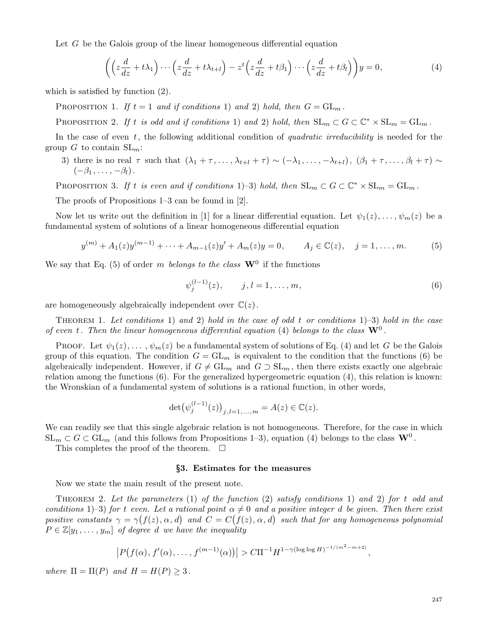Let  $G$  be the Galois group of the linear homogeneous differential equation

$$
\left( \left( z \frac{d}{dz} + t \lambda_1 \right) \cdots \left( z \frac{d}{dz} + t \lambda_{t+1} \right) - z^t \left( z \frac{d}{dz} + t \beta_1 \right) \cdots \left( z \frac{d}{dz} + t \beta_l \right) \right) y = 0, \tag{4}
$$

which is satisfied by function (2).

PROPOSITION 1. If  $t = 1$  and if conditions 1) and 2) hold, then  $G = GL_m$ .

PROPOSITION 2. If t is odd and if conditions 1) and 2) hold, then  $SL_m \subset G \subset \mathbb{C}^* \times SL_m = GL_m$ .

In the case of even  $t$ , the following additional condition of *quadratic irreducibility* is needed for the group G to contain  $SL_m$ :

3) there is no real  $\tau$  such that  $(\lambda_1 + \tau, \ldots, \lambda_{t+l} + \tau) \sim (-\lambda_1, \ldots, -\lambda_{t+l}), (\beta_1 + \tau, \ldots, \beta_l + \tau) \sim$  $(-\beta_1, \ldots, -\beta_l).$ 

PROPOSITION 3. If t is even and if conditions 1)–3) hold, then  $SL_m \subset G \subset \mathbb{C}^* \times SL_m = GL_m$ .

The proofs of Propositions 1–3 can be found in [2].

Now let us write out the definition in [1] for a linear differential equation. Let  $\psi_1(z), \ldots, \psi_m(z)$  be a fundamental system of solutions of a linear homogeneous differential equation

$$
y^{(m)} + A_1(z)y^{(m-1)} + \dots + A_{m-1}(z)y' + A_m(z)y = 0, \qquad A_j \in \mathbb{C}(z), \quad j = 1, \dots, m.
$$
 (5)

We say that Eq. (5) of order m belongs to the class  $\mathbf{W}^0$  if the functions

$$
\psi_j^{(l-1)}(z), \qquad j, l = 1, \dots, m,\tag{6}
$$

are homogeneously algebraically independent over  $\mathbb{C}(z)$ .

THEOREM 1. Let conditions 1) and 2) hold in the case of odd t or conditions  $1$ –3) hold in the case of even t. Then the linear homogeneous differential equation (4) belongs to the class  $\mathbf{W}^0$ .

PROOF. Let  $\psi_1(z), \dots, \psi_m(z)$  be a fundamental system of solutions of Eq. (4) and let G be the Galois group of this equation. The condition  $G = GL_m$  is equivalent to the condition that the functions (6) be algebraically independent. However, if  $G \neq GL_m$  and  $G \supset SL_m$ , then there exists exactly one algebraic relation among the functions (6). For the generalized hypergeometric equation (4), this relation is known: the Wronskian of a fundamental system of solutions is a rational function, in other words,

$$
\det(\psi_j^{(l-1)}(z))_{j,l=1,...,m} = A(z) \in \mathbb{C}(z).
$$

We can readily see that this single algebraic relation is not homogeneous. Therefore, for the case in which  $SL_m \subset G \subset GL_m$  (and this follows from Propositions 1–3), equation (4) belongs to the class  $\mathbf{W}^0$ .

This completes the proof of the theorem.  $\Box$ 

#### §3. Estimates for the measures

Now we state the main result of the present note.

THEOREM 2. Let the parameters (1) of the function (2) satisfy conditions 1) and 2) for t odd and conditions 1)–3) for t even. Let a rational point  $\alpha \neq 0$  and a positive integer d be given. Then there exist positive constants  $\gamma = \gamma(f(z), \alpha, d)$  and  $C = C(f(z), \alpha, d)$  such that for any homogeneous polynomial  $P \in \mathbb{Z}[y_1, \ldots, y_m]$  of degree d we have the inequality

$$
\left|P(f(\alpha), f'(\alpha), \ldots, f^{(m-1)}(\alpha))\right| > C\Pi^{-1}H^{1-\gamma(\log\log H)^{-1/(m^2-m+2)}},
$$

where  $\Pi = \Pi(P)$  and  $H = H(P) \geq 3$ .